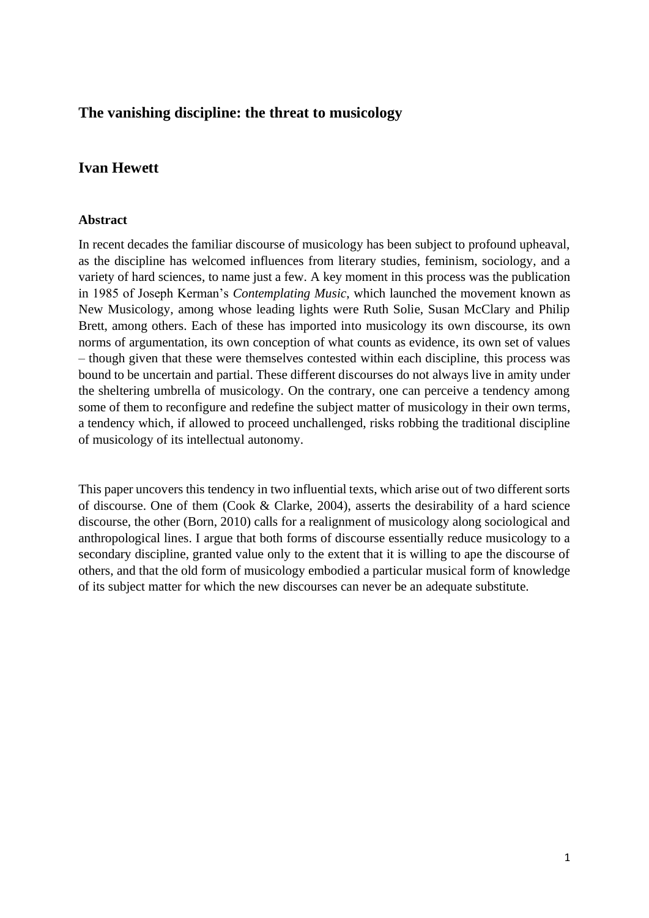# **The vanishing discipline: the threat to musicology**

# **Ivan Hewett**

## **Abstract**

In recent decades the familiar discourse of musicology has been subject to profound upheaval, as the discipline has welcomed influences from literary studies, feminism, sociology, and a variety of hard sciences, to name just a few. A key moment in this process was the publication in 1985 of Joseph Kerman's *Contemplating Music*, which launched the movement known as New Musicology, among whose leading lights were Ruth Solie, Susan McClary and Philip Brett, among others. Each of these has imported into musicology its own discourse, its own norms of argumentation, its own conception of what counts as evidence, its own set of values – though given that these were themselves contested within each discipline, this process was bound to be uncertain and partial. These different discourses do not always live in amity under the sheltering umbrella of musicology. On the contrary, one can perceive a tendency among some of them to reconfigure and redefine the subject matter of musicology in their own terms, a tendency which, if allowed to proceed unchallenged, risks robbing the traditional discipline of musicology of its intellectual autonomy.

This paper uncovers this tendency in two influential texts, which arise out of two different sorts of discourse. One of them (Cook & Clarke, 2004), asserts the desirability of a hard science discourse, the other (Born, 2010) calls for a realignment of musicology along sociological and anthropological lines. I argue that both forms of discourse essentially reduce musicology to a secondary discipline, granted value only to the extent that it is willing to ape the discourse of others, and that the old form of musicology embodied a particular musical form of knowledge of its subject matter for which the new discourses can never be an adequate substitute.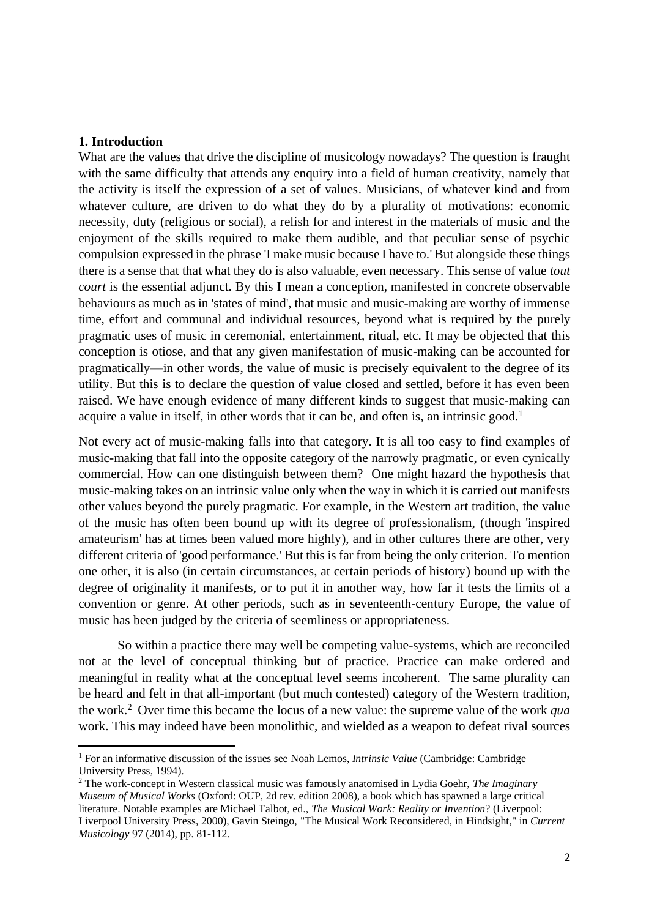## **1. Introduction**

What are the values that drive the discipline of musicology nowadays? The question is fraught with the same difficulty that attends any enquiry into a field of human creativity, namely that the activity is itself the expression of a set of values. Musicians, of whatever kind and from whatever culture, are driven to do what they do by a plurality of motivations: economic necessity, duty (religious or social), a relish for and interest in the materials of music and the enjoyment of the skills required to make them audible, and that peculiar sense of psychic compulsion expressed in the phrase 'I make music because I have to.' But alongside these things there is a sense that that what they do is also valuable, even necessary. This sense of value *tout court* is the essential adjunct. By this I mean a conception, manifested in concrete observable behaviours as much as in 'states of mind', that music and music-making are worthy of immense time, effort and communal and individual resources, beyond what is required by the purely pragmatic uses of music in ceremonial, entertainment, ritual, etc. It may be objected that this conception is otiose, and that any given manifestation of music-making can be accounted for pragmatically—in other words, the value of music is precisely equivalent to the degree of its utility. But this is to declare the question of value closed and settled, before it has even been raised. We have enough evidence of many different kinds to suggest that music-making can acquire a value in itself, in other words that it can be, and often is, an intrinsic good.<sup>1</sup>

Not every act of music-making falls into that category. It is all too easy to find examples of music-making that fall into the opposite category of the narrowly pragmatic, or even cynically commercial. How can one distinguish between them? One might hazard the hypothesis that music-making takes on an intrinsic value only when the way in which it is carried out manifests other values beyond the purely pragmatic. For example, in the Western art tradition, the value of the music has often been bound up with its degree of professionalism, (though 'inspired amateurism' has at times been valued more highly), and in other cultures there are other, very different criteria of 'good performance.' But this is far from being the only criterion. To mention one other, it is also (in certain circumstances, at certain periods of history) bound up with the degree of originality it manifests, or to put it in another way, how far it tests the limits of a convention or genre. At other periods, such as in seventeenth-century Europe, the value of music has been judged by the criteria of seemliness or appropriateness.

So within a practice there may well be competing value-systems, which are reconciled not at the level of conceptual thinking but of practice. Practice can make ordered and meaningful in reality what at the conceptual level seems incoherent. The same plurality can be heard and felt in that all-important (but much contested) category of the Western tradition, the work. 2 Over time this became the locus of a new value: the supreme value of the work *qua*  work. This may indeed have been monolithic, and wielded as a weapon to defeat rival sources

<sup>1</sup> For an informative discussion of the issues see Noah Lemos, *Intrinsic Value* (Cambridge: Cambridge University Press, 1994).

<sup>2</sup> The work-concept in Western classical music was famously anatomised in Lydia Goehr, *The Imaginary Museum of Musical Works* (Oxford: OUP, 2d rev. edition 2008), a book which has spawned a large critical literature. Notable examples are Michael Talbot, ed., *The Musical Work: Reality or Invention*? (Liverpool: Liverpool University Press, 2000), Gavin Steingo, "The Musical Work Reconsidered, in Hindsight*,*" in *Current Musicology* 97 (2014), pp. 81-112.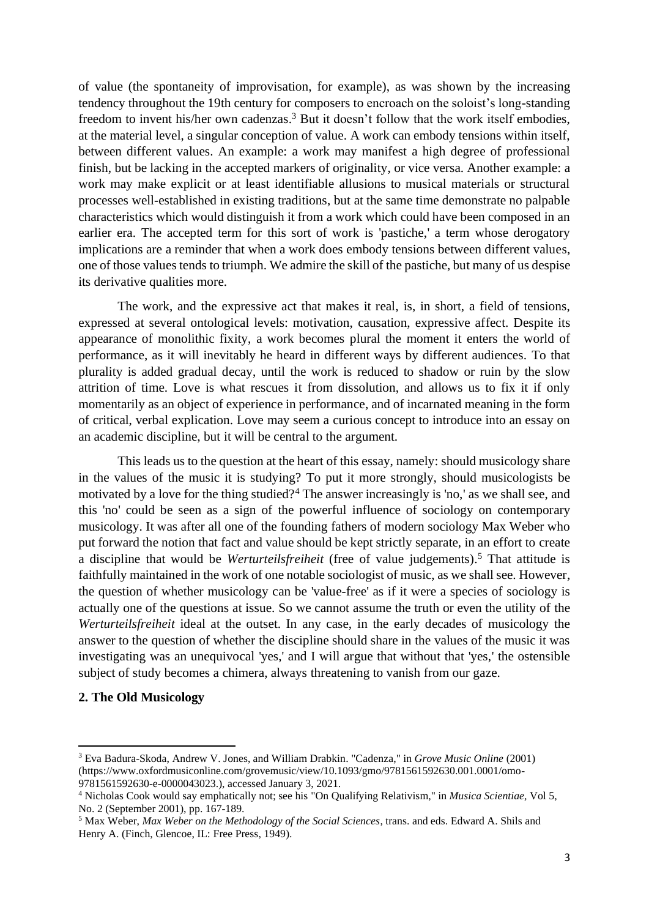of value (the spontaneity of improvisation, for example), as was shown by the increasing tendency throughout the 19th century for composers to encroach on the soloist's long-standing freedom to invent his/her own cadenzas.<sup>3</sup> But it doesn't follow that the work itself embodies, at the material level, a singular conception of value. A work can embody tensions within itself, between different values. An example: a work may manifest a high degree of professional finish, but be lacking in the accepted markers of originality, or vice versa. Another example: a work may make explicit or at least identifiable allusions to musical materials or structural processes well-established in existing traditions, but at the same time demonstrate no palpable characteristics which would distinguish it from a work which could have been composed in an earlier era. The accepted term for this sort of work is 'pastiche,' a term whose derogatory implications are a reminder that when a work does embody tensions between different values, one of those values tends to triumph. We admire the skill of the pastiche, but many of us despise its derivative qualities more.

The work, and the expressive act that makes it real, is, in short, a field of tensions, expressed at several ontological levels: motivation, causation, expressive affect. Despite its appearance of monolithic fixity, a work becomes plural the moment it enters the world of performance, as it will inevitably he heard in different ways by different audiences. To that plurality is added gradual decay, until the work is reduced to shadow or ruin by the slow attrition of time. Love is what rescues it from dissolution, and allows us to fix it if only momentarily as an object of experience in performance, and of incarnated meaning in the form of critical, verbal explication. Love may seem a curious concept to introduce into an essay on an academic discipline, but it will be central to the argument.

This leads us to the question at the heart of this essay, namely: should musicology share in the values of the music it is studying? To put it more strongly, should musicologists be motivated by a love for the thing studied?<sup>4</sup> The answer increasingly is 'no,' as we shall see, and this 'no' could be seen as a sign of the powerful influence of sociology on contemporary musicology. It was after all one of the founding fathers of modern sociology Max Weber who put forward the notion that fact and value should be kept strictly separate, in an effort to create a discipline that would be *Werturteilsfreiheit* (free of value judgements). <sup>5</sup> That attitude is faithfully maintained in the work of one notable sociologist of music, as we shall see. However, the question of whether musicology can be 'value-free' as if it were a species of sociology is actually one of the questions at issue. So we cannot assume the truth or even the utility of the *Werturteilsfreiheit* ideal at the outset. In any case, in the early decades of musicology the answer to the question of whether the discipline should share in the values of the music it was investigating was an unequivocal 'yes,' and I will argue that without that 'yes,' the ostensible subject of study becomes a chimera, always threatening to vanish from our gaze.

## **2. The Old Musicology**

<sup>3</sup> Eva Badura-Skoda, Andrew V. Jones, and William Drabkin. "Cadenza," in *Grove Music Online* (2001) (https://www.oxfordmusiconline.com/grovemusic/view/10.1093/gmo/9781561592630.001.0001/omo-9781561592630-e-0000043023.), accessed January 3, 2021.

<sup>4</sup> Nicholas Cook would say emphatically not; see his "On Qualifying Relativism," in *Musica Scientiae,* Vol 5, No. 2 (September 2001), pp. 167-189.

<sup>5</sup> Max Weber, *Max Weber on the Methodology of the Social Sciences*, trans. and eds. Edward A. Shils and Henry A. (Finch, Glencoe, IL: Free Press, 1949).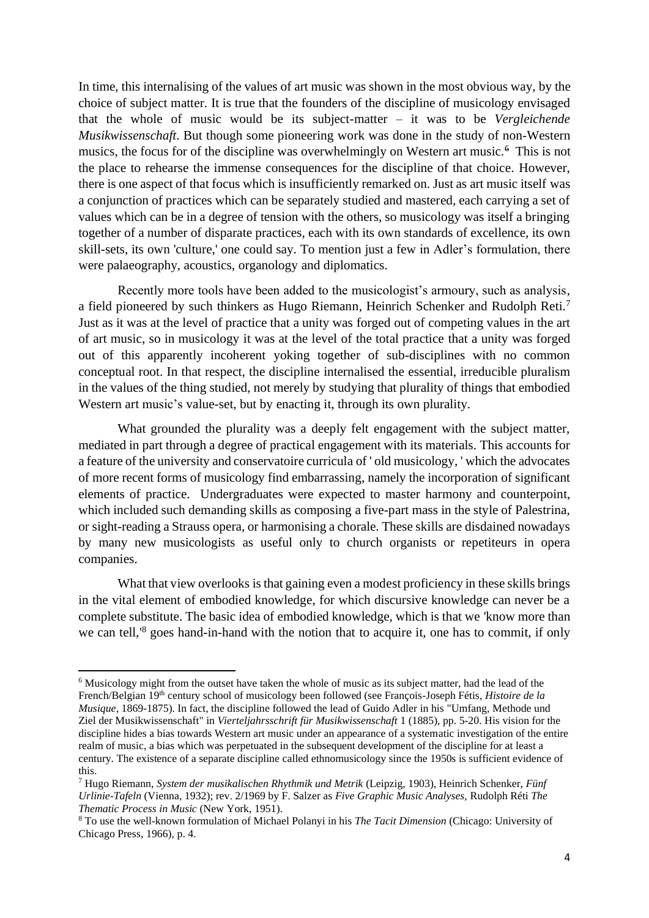In time, this internalising of the values of art music was shown in the most obvious way, by the choice of subject matter. It is true that the founders of the discipline of musicology envisaged that the whole of music would be its subject-matter – it was to be *Vergleichende Musikwissenschaft*. But though some pioneering work was done in the study of non-Western musics, the focus for of the discipline was overwhelmingly on Western art music.<sup>6</sup> This is not the place to rehearse the immense consequences for the discipline of that choice. However, there is one aspect of that focus which is insufficiently remarked on. Just as art music itself was a conjunction of practices which can be separately studied and mastered, each carrying a set of values which can be in a degree of tension with the others, so musicology was itself a bringing together of a number of disparate practices, each with its own standards of excellence, its own skill-sets, its own 'culture,' one could say. To mention just a few in Adler's formulation, there were palaeography, acoustics, organology and diplomatics.

Recently more tools have been added to the musicologist's armoury, such as analysis, a field pioneered by such thinkers as Hugo Riemann, Heinrich Schenker and Rudolph Reti.<sup>7</sup> Just as it was at the level of practice that a unity was forged out of competing values in the art of art music, so in musicology it was at the level of the total practice that a unity was forged out of this apparently incoherent yoking together of sub-disciplines with no common conceptual root. In that respect, the discipline internalised the essential, irreducible pluralism in the values of the thing studied, not merely by studying that plurality of things that embodied Western art music's value-set, but by enacting it, through its own plurality.

What grounded the plurality was a deeply felt engagement with the subject matter, mediated in part through a degree of practical engagement with its materials. This accounts for a feature of the university and conservatoire curricula of ' old musicology, ' which the advocates of more recent forms of musicology find embarrassing, namely the incorporation of significant elements of practice. Undergraduates were expected to master harmony and counterpoint, which included such demanding skills as composing a five-part mass in the style of Palestrina, or sight-reading a Strauss opera, or harmonising a chorale. These skills are disdained nowadays by many new musicologists as useful only to church organists or repetiteurs in opera companies.

What that view overlooks is that gaining even a modest proficiency in these skills brings in the vital element of embodied knowledge, for which discursive knowledge can never be a complete substitute. The basic idea of embodied knowledge, which is that we 'know more than we can tell,<sup>18</sup> goes hand-in-hand with the notion that to acquire it, one has to commit, if only

<sup>6</sup> Musicology might from the outset have taken the whole of music as its subject matter, had the lead of the French/Belgian 19th century school of musicology been followed (see François-Joseph Fétis, *Histoire de la Musique*, 1869-1875). In fact, the discipline followed the lead of Guido Adler in his "Umfang, Methode und Ziel der Musikwissenschaft" in *Vierteljahrsschrift für Musikwissenschaft* 1 (1885), pp. 5-20. His vision for the discipline hides a bias towards Western art music under an appearance of a systematic investigation of the entire realm of music, a bias which was perpetuated in the subsequent development of the discipline for at least a century. The existence of a separate discipline called ethnomusicology since the 1950s is sufficient evidence of this.

<sup>7</sup> Hugo Riemann, *System der musikalischen Rhythmik und Metrik* (Leipzig, 1903), Heinrich Schenker, *Fünf Urlinie-Tafeln* (Vienna, 1932); rev. 2/1969 by F. Salzer as *Five Graphic Music Analyses,* Rudolph Réti *The Thematic Process in Music* (New York, 1951).

<sup>8</sup> To use the well-known formulation of Michael Polanyi in his *The Tacit Dimension* (Chicago: University of Chicago Press, 1966), p. 4.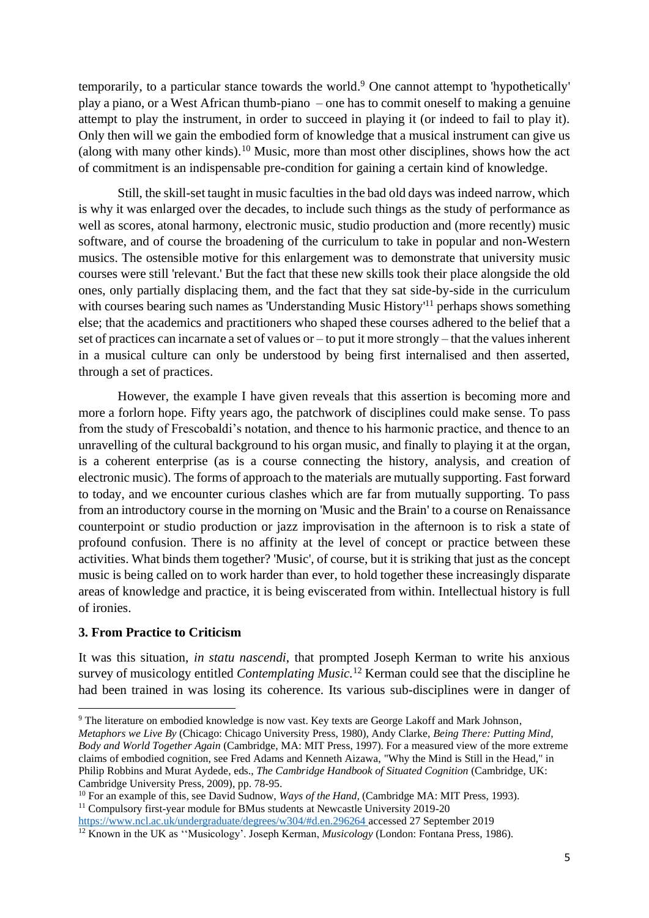temporarily, to a particular stance towards the world. <sup>9</sup> One cannot attempt to 'hypothetically' play a piano, or a West African thumb-piano – one has to commit oneself to making a genuine attempt to play the instrument, in order to succeed in playing it (or indeed to fail to play it). Only then will we gain the embodied form of knowledge that a musical instrument can give us (along with many other kinds).<sup>10</sup> Music, more than most other disciplines, shows how the act of commitment is an indispensable pre-condition for gaining a certain kind of knowledge.

Still, the skill-set taught in music faculties in the bad old days was indeed narrow, which is why it was enlarged over the decades, to include such things as the study of performance as well as scores, atonal harmony, electronic music, studio production and (more recently) music software, and of course the broadening of the curriculum to take in popular and non-Western musics. The ostensible motive for this enlargement was to demonstrate that university music courses were still 'relevant.' But the fact that these new skills took their place alongside the old ones, only partially displacing them, and the fact that they sat side-by-side in the curriculum with courses bearing such names as 'Understanding Music History'<sup>11</sup> perhaps shows something else; that the academics and practitioners who shaped these courses adhered to the belief that a set of practices can incarnate a set of values or – to put it more strongly – that the values inherent in a musical culture can only be understood by being first internalised and then asserted, through a set of practices.

However, the example I have given reveals that this assertion is becoming more and more a forlorn hope. Fifty years ago, the patchwork of disciplines could make sense. To pass from the study of Frescobaldi's notation, and thence to his harmonic practice, and thence to an unravelling of the cultural background to his organ music, and finally to playing it at the organ, is a coherent enterprise (as is a course connecting the history, analysis, and creation of electronic music). The forms of approach to the materials are mutually supporting. Fast forward to today, and we encounter curious clashes which are far from mutually supporting. To pass from an introductory course in the morning on 'Music and the Brain' to a course on Renaissance counterpoint or studio production or jazz improvisation in the afternoon is to risk a state of profound confusion. There is no affinity at the level of concept or practice between these activities. What binds them together? 'Music', of course, but it is striking that just as the concept music is being called on to work harder than ever, to hold together these increasingly disparate areas of knowledge and practice, it is being eviscerated from within. Intellectual history is full of ironies.

# **3. From Practice to Criticism**

It was this situation, *in statu nascendi*, that prompted Joseph Kerman to write his anxious survey of musicology entitled *Contemplating Music.* <sup>12</sup> Kerman could see that the discipline he had been trained in was losing its coherence. Its various sub-disciplines were in danger of

<sup>9</sup> The literature on embodied knowledge is now vast. Key texts are George Lakoff and Mark Johnson,

*Metaphors we Live By* (Chicago: Chicago University Press, 1980), Andy Clarke, *Being There: Putting Mind, Body and World Together Again* (Cambridge, MA: MIT Press, 1997). For a measured view of the more extreme claims of embodied cognition, see Fred Adams and Kenneth Aizawa, "Why the Mind is Still in the Head," in Philip Robbins and Murat Aydede, eds., *The Cambridge Handbook of Situated Cognition* (Cambridge, UK: Cambridge University Press, 2009), pp. 78-95.

<sup>&</sup>lt;sup>10</sup> For an example of this, see David Sudnow, *Ways of the Hand*, (Cambridge MA: MIT Press, 1993). <sup>11</sup> Compulsory first-year module for BMus students at Newcastle University 2019-20

<https://www.ncl.ac.uk/undergraduate/degrees/w304/#d.en.296264> accessed 27 September 2019

<sup>&</sup>lt;sup>12</sup> Known in the UK as "Musicology'. Joseph Kerman, *Musicology* (London: Fontana Press, 1986).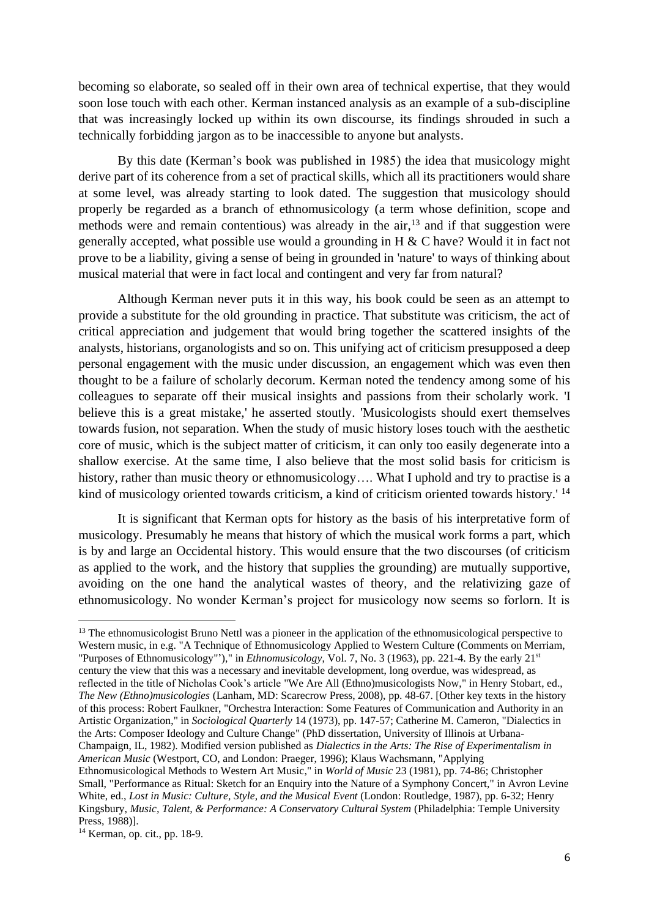becoming so elaborate, so sealed off in their own area of technical expertise, that they would soon lose touch with each other. Kerman instanced analysis as an example of a sub-discipline that was increasingly locked up within its own discourse, its findings shrouded in such a technically forbidding jargon as to be inaccessible to anyone but analysts.

By this date (Kerman's book was published in 1985) the idea that musicology might derive part of its coherence from a set of practical skills, which all its practitioners would share at some level, was already starting to look dated. The suggestion that musicology should properly be regarded as a branch of ethnomusicology (a term whose definition, scope and methods were and remain contentious) was already in the air,<sup>13</sup> and if that suggestion were generally accepted, what possible use would a grounding in H & C have? Would it in fact not prove to be a liability, giving a sense of being in grounded in 'nature' to ways of thinking about musical material that were in fact local and contingent and very far from natural?

Although Kerman never puts it in this way, his book could be seen as an attempt to provide a substitute for the old grounding in practice. That substitute was criticism, the act of critical appreciation and judgement that would bring together the scattered insights of the analysts, historians, organologists and so on. This unifying act of criticism presupposed a deep personal engagement with the music under discussion, an engagement which was even then thought to be a failure of scholarly decorum. Kerman noted the tendency among some of his colleagues to separate off their musical insights and passions from their scholarly work. 'I believe this is a great mistake,' he asserted stoutly. 'Musicologists should exert themselves towards fusion, not separation. When the study of music history loses touch with the aesthetic core of music, which is the subject matter of criticism, it can only too easily degenerate into a shallow exercise. At the same time, I also believe that the most solid basis for criticism is history, rather than music theory or ethnomusicology.... What I uphold and try to practise is a kind of musicology oriented towards criticism, a kind of criticism oriented towards history.'<sup>14</sup>

It is significant that Kerman opts for history as the basis of his interpretative form of musicology. Presumably he means that history of which the musical work forms a part, which is by and large an Occidental history. This would ensure that the two discourses (of criticism as applied to the work, and the history that supplies the grounding) are mutually supportive, avoiding on the one hand the analytical wastes of theory, and the relativizing gaze of ethnomusicology. No wonder Kerman's project for musicology now seems so forlorn. It is

<sup>&</sup>lt;sup>13</sup> The ethnomusicologist Bruno Nettl was a pioneer in the application of the ethnomusicological perspective to Western music, in e.g. "A Technique of Ethnomusicology Applied to Western Culture (Comments on Merriam, "Purposes of Ethnomusicology"')," in *Ethnomusicology*, Vol. 7, No. 3 (1963), pp. 221-4. By the early 21st century the view that this was a necessary and inevitable development, long overdue, was widespread, as reflected in the title of Nicholas Cook's article "We Are All (Ethno)musicologists Now," in Henry Stobart, ed., *The New (Ethno)musicologies* (Lanham, MD: Scarecrow Press, 2008), pp. 48-67. [Other key texts in the history of this process: Robert Faulkner, "Orchestra Interaction: Some Features of Communication and Authority in an Artistic Organization," in *Sociological Quarterly* 14 (1973), pp. 147-57; Catherine M. Cameron, "Dialectics in the Arts: Composer Ideology and Culture Change" (PhD dissertation, University of Illinois at Urbana-Champaign, IL, 1982). Modified version published as *Dialectics in the Arts: The Rise of Experimentalism in American Music* (Westport, CO, and London: Praeger, 1996); Klaus Wachsmann, "Applying Ethnomusicological Methods to Western Art Music," in *World of Music* 23 (1981), pp. 74-86; Christopher Small, "Performance as Ritual: Sketch for an Enquiry into the Nature of a Symphony Concert," in Avron Levine White, ed., *Lost in Music: Culture, Style, and the Musical Event* (London: Routledge, 1987), pp. 6-32; Henry Kingsbury, *Music, Talent, & Performance: A Conservatory Cultural System* (Philadelphia: Temple University Press, 1988)].

<sup>14</sup> Kerman, op. cit., pp. 18-9.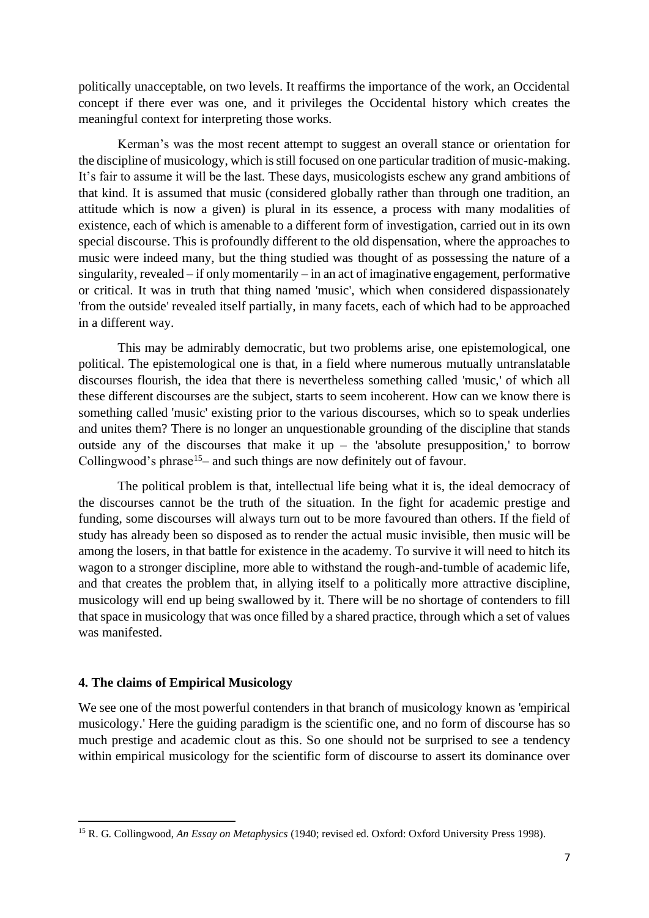politically unacceptable, on two levels. It reaffirms the importance of the work, an Occidental concept if there ever was one, and it privileges the Occidental history which creates the meaningful context for interpreting those works.

Kerman's was the most recent attempt to suggest an overall stance or orientation for the discipline of musicology, which is still focused on one particular tradition of music-making. It's fair to assume it will be the last. These days, musicologists eschew any grand ambitions of that kind. It is assumed that music (considered globally rather than through one tradition, an attitude which is now a given) is plural in its essence, a process with many modalities of existence, each of which is amenable to a different form of investigation, carried out in its own special discourse. This is profoundly different to the old dispensation, where the approaches to music were indeed many, but the thing studied was thought of as possessing the nature of a singularity, revealed – if only momentarily – in an act of imaginative engagement, performative or critical. It was in truth that thing named 'music', which when considered dispassionately 'from the outside' revealed itself partially, in many facets, each of which had to be approached in a different way.

This may be admirably democratic, but two problems arise, one epistemological, one political. The epistemological one is that, in a field where numerous mutually untranslatable discourses flourish, the idea that there is nevertheless something called 'music,' of which all these different discourses are the subject, starts to seem incoherent. How can we know there is something called 'music' existing prior to the various discourses, which so to speak underlies and unites them? There is no longer an unquestionable grounding of the discipline that stands outside any of the discourses that make it up – the 'absolute presupposition,' to borrow Collingwood's phrase<sup>15</sup>– and such things are now definitely out of favour.

The political problem is that, intellectual life being what it is, the ideal democracy of the discourses cannot be the truth of the situation. In the fight for academic prestige and funding, some discourses will always turn out to be more favoured than others. If the field of study has already been so disposed as to render the actual music invisible, then music will be among the losers, in that battle for existence in the academy. To survive it will need to hitch its wagon to a stronger discipline, more able to withstand the rough-and-tumble of academic life, and that creates the problem that, in allying itself to a politically more attractive discipline, musicology will end up being swallowed by it. There will be no shortage of contenders to fill that space in musicology that was once filled by a shared practice, through which a set of values was manifested.

### **4. The claims of Empirical Musicology**

We see one of the most powerful contenders in that branch of musicology known as 'empirical musicology.' Here the guiding paradigm is the scientific one, and no form of discourse has so much prestige and academic clout as this. So one should not be surprised to see a tendency within empirical musicology for the scientific form of discourse to assert its dominance over

<sup>15</sup> R. G. Collingwood, *An Essay on Metaphysics* (1940; revised ed. Oxford: Oxford University Press 1998).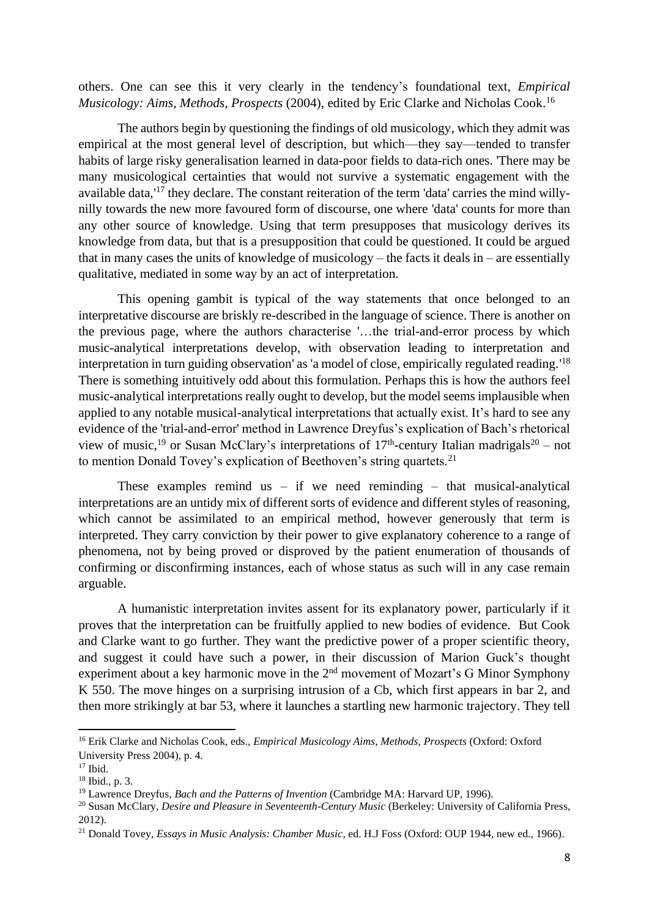others. One can see this it very clearly in the tendency's foundational text, *Empirical Musicology: Aims, Methods, Prospects* (2004), edited by Eric Clarke and Nicholas Cook. 16

The authors begin by questioning the findings of old musicology, which they admit was empirical at the most general level of description, but which—they say—tended to transfer habits of large risky generalisation learned in data-poor fields to data-rich ones. 'There may be many musicological certainties that would not survive a systematic engagement with the available data, '<sup>17</sup> they declare. The constant reiteration of the term 'data' carries the mind willynilly towards the new more favoured form of discourse, one where 'data' counts for more than any other source of knowledge. Using that term presupposes that musicology derives its knowledge from data, but that is a presupposition that could be questioned. It could be argued that in many cases the units of knowledge of musicology – the facts it deals in – are essentially qualitative, mediated in some way by an act of interpretation.

This opening gambit is typical of the way statements that once belonged to an interpretative discourse are briskly re-described in the language of science. There is another on the previous page, where the authors characterise '…the trial-and-error process by which music-analytical interpretations develop, with observation leading to interpretation and interpretation in turn guiding observation' as 'a model of close, empirically regulated reading.' 18 There is something intuitively odd about this formulation. Perhaps this is how the authors feel music-analytical interpretations really ought to develop, but the model seems implausible when applied to any notable musical-analytical interpretations that actually exist. It's hard to see any evidence of the 'trial-and-error' method in Lawrence Dreyfus's explication of Bach's rhetorical view of music,<sup>19</sup> or Susan McClary's interpretations of  $17<sup>th</sup>$ -century Italian madrigals<sup>20</sup> – not to mention Donald Tovey's explication of Beethoven's string quartets.<sup>21</sup>

These examples remind us – if we need reminding – that musical-analytical interpretations are an untidy mix of different sorts of evidence and different styles of reasoning, which cannot be assimilated to an empirical method, however generously that term is interpreted. They carry conviction by their power to give explanatory coherence to a range of phenomena, not by being proved or disproved by the patient enumeration of thousands of confirming or disconfirming instances, each of whose status as such will in any case remain arguable.

A humanistic interpretation invites assent for its explanatory power, particularly if it proves that the interpretation can be fruitfully applied to new bodies of evidence. But Cook and Clarke want to go further. They want the predictive power of a proper scientific theory, and suggest it could have such a power, in their discussion of Marion Guck's thought experiment about a key harmonic move in the 2nd movement of Mozart's G Minor Symphony K 550. The move hinges on a surprising intrusion of a Cb, which first appears in bar 2, and then more strikingly at bar 53, where it launches a startling new harmonic trajectory. They tell

<sup>16</sup> Erik Clarke and Nicholas Cook, eds., *Empirical Musicology Aims, Methods, Prospects* (Oxford: Oxford University Press 2004), p. 4.

 $17$  Ibid.

<sup>18</sup> Ibid., p. 3.

<sup>19</sup> Lawrence Dreyfus, *Bach and the Patterns of Invention* (Cambridge MA: Harvard UP, 1996).

<sup>&</sup>lt;sup>20</sup> Susan McClary, *Desire and Pleasure in Seventeenth-Century Music* (Berkeley: University of California Press, 2012).

<sup>&</sup>lt;sup>21</sup> Donald Tovey, *Essays in Music Analysis: Chamber Music*, ed. H.J Foss (Oxford: OUP 1944, new ed., 1966).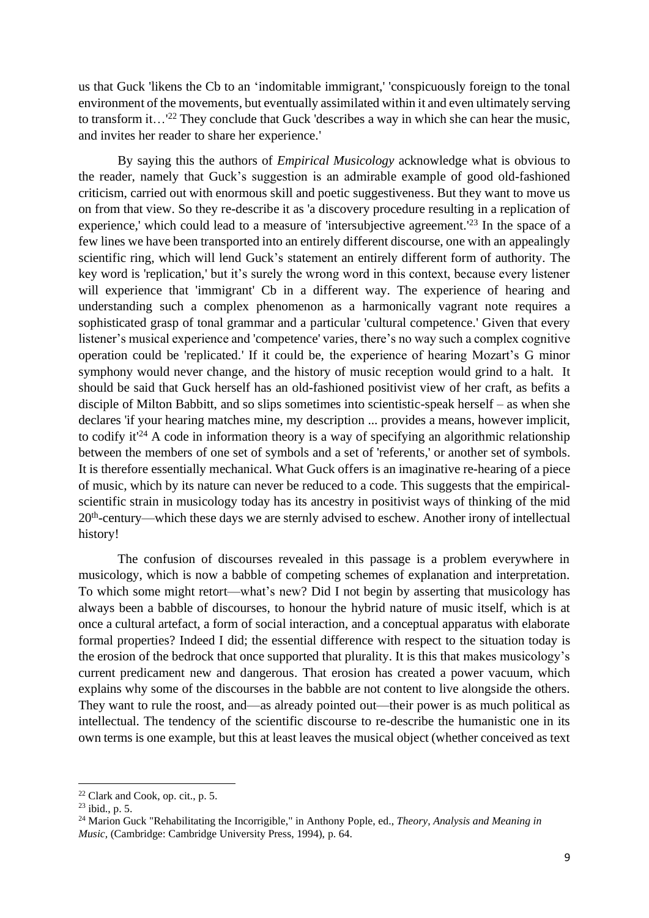us that Guck 'likens the Cb to an 'indomitable immigrant,' 'conspicuously foreign to the tonal environment of the movements, but eventually assimilated within it and even ultimately serving to transform it...<sup>'22</sup> They conclude that Guck 'describes a way in which she can hear the music, and invites her reader to share her experience.'

By saying this the authors of *Empirical Musicology* acknowledge what is obvious to the reader, namely that Guck's suggestion is an admirable example of good old-fashioned criticism, carried out with enormous skill and poetic suggestiveness. But they want to move us on from that view. So they re-describe it as 'a discovery procedure resulting in a replication of experience,' which could lead to a measure of 'intersubjective agreement.<sup>'23</sup> In the space of a few lines we have been transported into an entirely different discourse, one with an appealingly scientific ring, which will lend Guck's statement an entirely different form of authority. The key word is 'replication,' but it's surely the wrong word in this context, because every listener will experience that 'immigrant' Cb in a different way. The experience of hearing and understanding such a complex phenomenon as a harmonically vagrant note requires a sophisticated grasp of tonal grammar and a particular 'cultural competence.' Given that every listener's musical experience and 'competence' varies, there's no way such a complex cognitive operation could be 'replicated.' If it could be, the experience of hearing Mozart's G minor symphony would never change, and the history of music reception would grind to a halt. It should be said that Guck herself has an old-fashioned positivist view of her craft, as befits a disciple of Milton Babbitt, and so slips sometimes into scientistic-speak herself – as when she declares 'if your hearing matches mine, my description ... provides a means, however implicit, to codify it<sup> $24$ </sup> A code in information theory is a way of specifying an algorithmic relationship between the members of one set of symbols and a set of 'referents,' or another set of symbols. It is therefore essentially mechanical. What Guck offers is an imaginative re-hearing of a piece of music, which by its nature can never be reduced to a code. This suggests that the empiricalscientific strain in musicology today has its ancestry in positivist ways of thinking of the mid 20<sup>th</sup>-century—which these days we are sternly advised to eschew. Another irony of intellectual history!

The confusion of discourses revealed in this passage is a problem everywhere in musicology, which is now a babble of competing schemes of explanation and interpretation. To which some might retort—what's new? Did I not begin by asserting that musicology has always been a babble of discourses, to honour the hybrid nature of music itself, which is at once a cultural artefact, a form of social interaction, and a conceptual apparatus with elaborate formal properties? Indeed I did; the essential difference with respect to the situation today is the erosion of the bedrock that once supported that plurality. It is this that makes musicology's current predicament new and dangerous. That erosion has created a power vacuum, which explains why some of the discourses in the babble are not content to live alongside the others. They want to rule the roost, and—as already pointed out—their power is as much political as intellectual. The tendency of the scientific discourse to re-describe the humanistic one in its own terms is one example, but this at least leaves the musical object (whether conceived as text

 $22$  Clark and Cook, op. cit., p. 5.

<sup>23</sup> ibid., p. 5.

<sup>24</sup> Marion Guck "Rehabilitating the Incorrigible," in Anthony Pople, ed., *Theory, Analysis and Meaning in Music,* (Cambridge: Cambridge University Press, 1994), p. 64.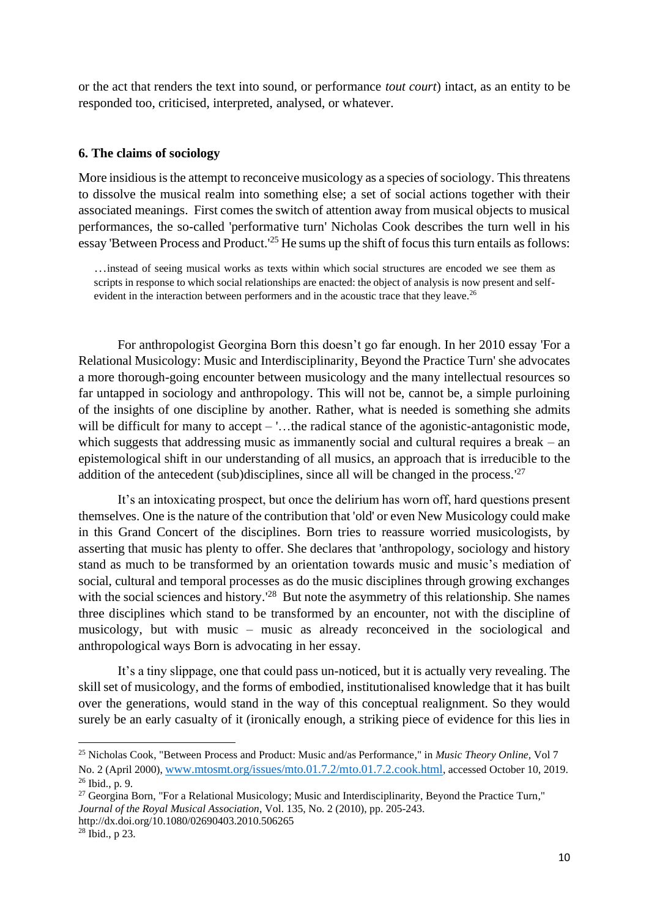or the act that renders the text into sound, or performance *tout court*) intact, as an entity to be responded too, criticised, interpreted, analysed, or whatever.

### **6. The claims of sociology**

More insidious is the attempt to reconceive musicology as a species of sociology. This threatens to dissolve the musical realm into something else; a set of social actions together with their associated meanings. First comes the switch of attention away from musical objects to musical performances, the so-called 'performative turn' Nicholas Cook describes the turn well in his essay 'Between Process and Product.<sup>'25</sup> He sums up the shift of focus this turn entails as follows:

…instead of seeing musical works as texts within which social structures are encoded we see them as scripts in response to which social relationships are enacted: the object of analysis is now present and selfevident in the interaction between performers and in the acoustic trace that they leave.<sup>26</sup>

For anthropologist Georgina Born this doesn't go far enough. In her 2010 essay 'For a Relational Musicology: Music and Interdisciplinarity, Beyond the Practice Turn' she advocates a more thorough-going encounter between musicology and the many intellectual resources so far untapped in sociology and anthropology. This will not be, cannot be, a simple purloining of the insights of one discipline by another. Rather, what is needed is something she admits will be difficult for many to accept – '...the radical stance of the agonistic-antagonistic mode, which suggests that addressing music as immanently social and cultural requires a break – an epistemological shift in our understanding of all musics, an approach that is irreducible to the addition of the antecedent (sub)disciplines, since all will be changed in the process.<sup>'27</sup>

It's an intoxicating prospect, but once the delirium has worn off, hard questions present themselves. One is the nature of the contribution that 'old' or even New Musicology could make in this Grand Concert of the disciplines. Born tries to reassure worried musicologists, by asserting that music has plenty to offer. She declares that 'anthropology, sociology and history stand as much to be transformed by an orientation towards music and music's mediation of social, cultural and temporal processes as do the music disciplines through growing exchanges with the social sciences and history.<sup>'28</sup> But note the asymmetry of this relationship. She names three disciplines which stand to be transformed by an encounter, not with the discipline of musicology, but with music – music as already reconceived in the sociological and anthropological ways Born is advocating in her essay.

It's a tiny slippage, one that could pass un-noticed, but it is actually very revealing. The skill set of musicology, and the forms of embodied, institutionalised knowledge that it has built over the generations, would stand in the way of this conceptual realignment. So they would surely be an early casualty of it (ironically enough, a striking piece of evidence for this lies in

<sup>25</sup> Nicholas Cook, "Between Process and Product: Music and/as Performance," in *Music Theory Online,* Vol 7 No. 2 (April 2000), [www.mtosmt.org/issues/mto.01.7.2/mto.01.7.2.cook.html](http://www.mtosmt.org/issues/mto.01.7.2/mto.01.7.2.cook.html), accessed October 10, 2019. <sup>26</sup> Ibid., p. 9.

<sup>&</sup>lt;sup>27</sup> Georgina Born, "For a Relational Musicology; Music and Interdisciplinarity, Beyond the Practice Turn," *Journal of the Royal Musical Association*, Vol. 135, No. 2 (2010), pp. 205-243. http://dx.doi.org/10.1080/02690403.2010.506265

 $28$  Ibid., p 23.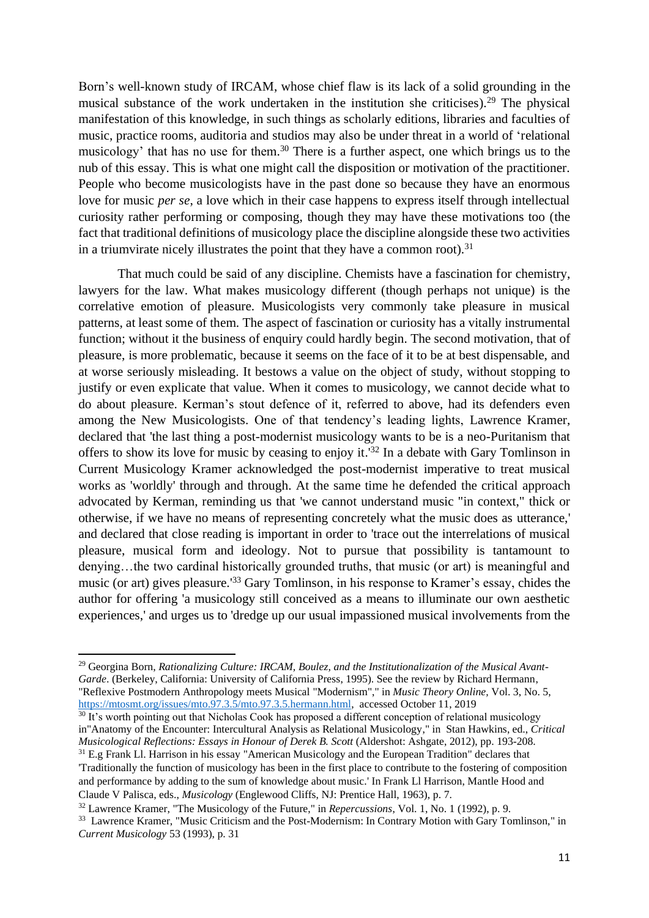Born's well-known study of IRCAM, whose chief flaw is its lack of a solid grounding in the musical substance of the work undertaken in the institution she criticises).<sup>29</sup> The physical manifestation of this knowledge, in such things as scholarly editions, libraries and faculties of music, practice rooms, auditoria and studios may also be under threat in a world of 'relational musicology' that has no use for them.<sup>30</sup> There is a further aspect, one which brings us to the nub of this essay. This is what one might call the disposition or motivation of the practitioner. People who become musicologists have in the past done so because they have an enormous love for music *per se*, a love which in their case happens to express itself through intellectual curiosity rather performing or composing, though they may have these motivations too (the fact that traditional definitions of musicology place the discipline alongside these two activities in a triumvirate nicely illustrates the point that they have a common root).<sup>31</sup>

That much could be said of any discipline. Chemists have a fascination for chemistry, lawyers for the law. What makes musicology different (though perhaps not unique) is the correlative emotion of pleasure. Musicologists very commonly take pleasure in musical patterns, at least some of them. The aspect of fascination or curiosity has a vitally instrumental function; without it the business of enquiry could hardly begin. The second motivation, that of pleasure, is more problematic, because it seems on the face of it to be at best dispensable, and at worse seriously misleading. It bestows a value on the object of study, without stopping to justify or even explicate that value. When it comes to musicology, we cannot decide what to do about pleasure. Kerman's stout defence of it, referred to above, had its defenders even among the New Musicologists. One of that tendency's leading lights, Lawrence Kramer, declared that 'the last thing a post-modernist musicology wants to be is a neo-Puritanism that offers to show its love for music by ceasing to enjoy it.' <sup>32</sup> In a debate with Gary Tomlinson in Current Musicology Kramer acknowledged the post-modernist imperative to treat musical works as 'worldly' through and through. At the same time he defended the critical approach advocated by Kerman, reminding us that 'we cannot understand music "in context," thick or otherwise, if we have no means of representing concretely what the music does as utterance,' and declared that close reading is important in order to 'trace out the interrelations of musical pleasure, musical form and ideology. Not to pursue that possibility is tantamount to denying…the two cardinal historically grounded truths, that music (or art) is meaningful and music (or art) gives pleasure.<sup>133</sup> Gary Tomlinson, in his response to Kramer's essay, chides the author for offering 'a musicology still conceived as a means to illuminate our own aesthetic experiences,' and urges us to 'dredge up our usual impassioned musical involvements from the

<sup>29</sup> Georgina Born, *Rationalizing Culture: IRCAM, Boulez, and the Institutionalization of the Musical Avant-Garde*. (Berkeley, California: University of California Press, 1995). See the review by Richard Hermann, "Reflexive Postmodern Anthropology meets Musical "Modernism"," in *Music Theory Online,* Vol. 3, No. 5, [https://mtosmt.org/issues/mto.97.3.5/mto.97.3.5.hermann.html,](https://mtosmt.org/issues/mto.97.3.5/mto.97.3.5.hermann.html) accessed October 11, 2019

<sup>&</sup>lt;sup>30</sup> It's worth pointing out that Nicholas Cook has proposed a different conception of relational musicology in"Anatomy of the Encounter: Intercultural Analysis as Relational Musicology," in Stan Hawkins, ed., *Critical Musicological Reflections: Essays in Honour of Derek B. Scott* (Aldershot: Ashgate, 2012), pp. 193-208.

<sup>&</sup>lt;sup>31</sup> E.g Frank Ll. Harrison in his essay "American Musicology and the European Tradition" declares that 'Traditionally the function of musicology has been in the first place to contribute to the fostering of composition and performance by adding to the sum of knowledge about music.' In Frank Ll Harrison, Mantle Hood and Claude V Palisca, eds., *Musicology* (Englewood Cliffs, NJ: Prentice Hall, 1963), p. 7.

<sup>32</sup> Lawrence Kramer, "The Musicology of the Future," in *Repercussions*, Vol. 1, No. 1 (1992), p. 9.

<sup>&</sup>lt;sup>33</sup> Lawrence Kramer, "Music Criticism and the Post-Modernism: In Contrary Motion with Gary Tomlinson," in *Current Musicology* 53 (1993), p. 31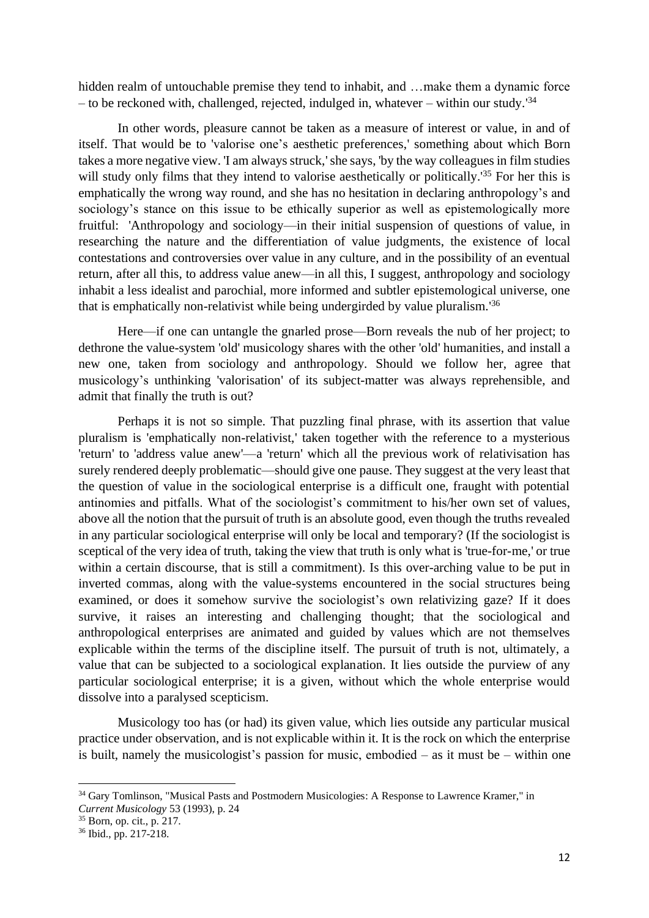hidden realm of untouchable premise they tend to inhabit, and …make them a dynamic force – to be reckoned with, challenged, rejected, indulged in, whatever – within our study.<sup>'34</sup>

In other words, pleasure cannot be taken as a measure of interest or value, in and of itself. That would be to 'valorise one's aesthetic preferences,' something about which Born takes a more negative view. 'I am always struck,'she says, 'by the way colleagues in film studies will study only films that they intend to valorise aesthetically or politically.<sup>'35</sup> For her this is emphatically the wrong way round, and she has no hesitation in declaring anthropology's and sociology's stance on this issue to be ethically superior as well as epistemologically more fruitful: 'Anthropology and sociology—in their initial suspension of questions of value, in researching the nature and the differentiation of value judgments, the existence of local contestations and controversies over value in any culture, and in the possibility of an eventual return, after all this, to address value anew—in all this, I suggest, anthropology and sociology inhabit a less idealist and parochial, more informed and subtler epistemological universe, one that is emphatically non-relativist while being undergirded by value pluralism.<sup>136</sup>

Here—if one can untangle the gnarled prose—Born reveals the nub of her project; to dethrone the value-system 'old' musicology shares with the other 'old' humanities, and install a new one, taken from sociology and anthropology. Should we follow her, agree that musicology's unthinking 'valorisation' of its subject-matter was always reprehensible, and admit that finally the truth is out?

Perhaps it is not so simple. That puzzling final phrase, with its assertion that value pluralism is 'emphatically non-relativist,' taken together with the reference to a mysterious 'return' to 'address value anew'—a 'return' which all the previous work of relativisation has surely rendered deeply problematic—should give one pause. They suggest at the very least that the question of value in the sociological enterprise is a difficult one, fraught with potential antinomies and pitfalls. What of the sociologist's commitment to his/her own set of values, above all the notion that the pursuit of truth is an absolute good, even though the truths revealed in any particular sociological enterprise will only be local and temporary? (If the sociologist is sceptical of the very idea of truth, taking the view that truth is only what is 'true-for-me,' or true within a certain discourse, that is still a commitment). Is this over-arching value to be put in inverted commas, along with the value-systems encountered in the social structures being examined, or does it somehow survive the sociologist's own relativizing gaze? If it does survive, it raises an interesting and challenging thought; that the sociological and anthropological enterprises are animated and guided by values which are not themselves explicable within the terms of the discipline itself. The pursuit of truth is not, ultimately, a value that can be subjected to a sociological explanation. It lies outside the purview of any particular sociological enterprise; it is a given, without which the whole enterprise would dissolve into a paralysed scepticism.

Musicology too has (or had) its given value, which lies outside any particular musical practice under observation, and is not explicable within it. It is the rock on which the enterprise is built, namely the musicologist's passion for music, embodied  $-$  as it must be  $-$  within one

<sup>&</sup>lt;sup>34</sup> Gary Tomlinson, "Musical Pasts and Postmodern Musicologies: A Response to Lawrence Kramer," in *Current Musicology* 53 (1993), p. 24

<sup>35</sup> Born, op. cit., p. 217.

<sup>36</sup> Ibid., pp. 217-218.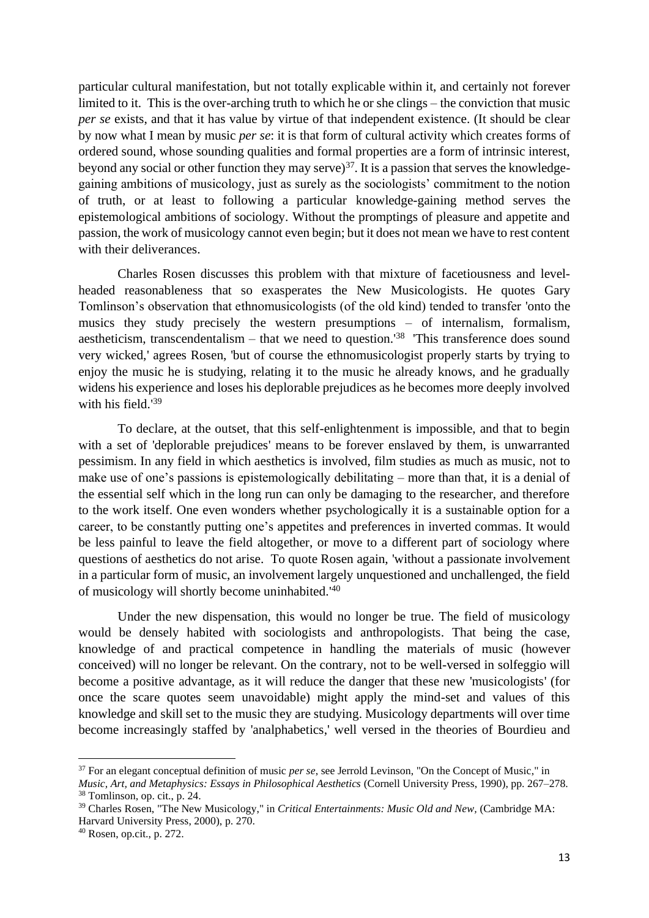particular cultural manifestation, but not totally explicable within it, and certainly not forever limited to it. This is the over-arching truth to which he or she clings – the conviction that music *per se* exists, and that it has value by virtue of that independent existence. (It should be clear by now what I mean by music *per se*: it is that form of cultural activity which creates forms of ordered sound, whose sounding qualities and formal properties are a form of intrinsic interest, beyond any social or other function they may serve) $37$ . It is a passion that serves the knowledgegaining ambitions of musicology, just as surely as the sociologists' commitment to the notion of truth, or at least to following a particular knowledge-gaining method serves the epistemological ambitions of sociology. Without the promptings of pleasure and appetite and passion, the work of musicology cannot even begin; but it does not mean we have to rest content with their deliverances.

Charles Rosen discusses this problem with that mixture of facetiousness and levelheaded reasonableness that so exasperates the New Musicologists. He quotes Gary Tomlinson's observation that ethnomusicologists (of the old kind) tended to transfer 'onto the musics they study precisely the western presumptions – of internalism, formalism, aestheticism, transcendentalism – that we need to question.<sup>'38</sup> 'This transference does sound very wicked,' agrees Rosen, 'but of course the ethnomusicologist properly starts by trying to enjoy the music he is studying, relating it to the music he already knows, and he gradually widens his experience and loses his deplorable prejudices as he becomes more deeply involved with his field.' 39

To declare, at the outset, that this self-enlightenment is impossible, and that to begin with a set of 'deplorable prejudices' means to be forever enslaved by them, is unwarranted pessimism. In any field in which aesthetics is involved, film studies as much as music, not to make use of one's passions is epistemologically debilitating – more than that, it is a denial of the essential self which in the long run can only be damaging to the researcher, and therefore to the work itself. One even wonders whether psychologically it is a sustainable option for a career, to be constantly putting one's appetites and preferences in inverted commas. It would be less painful to leave the field altogether, or move to a different part of sociology where questions of aesthetics do not arise. To quote Rosen again, 'without a passionate involvement in a particular form of music, an involvement largely unquestioned and unchallenged, the field of musicology will shortly become uninhabited.<sup>140</sup>

Under the new dispensation, this would no longer be true. The field of musicology would be densely habited with sociologists and anthropologists. That being the case, knowledge of and practical competence in handling the materials of music (however conceived) will no longer be relevant. On the contrary, not to be well-versed in solfeggio will become a positive advantage, as it will reduce the danger that these new 'musicologists' (for once the scare quotes seem unavoidable) might apply the mind-set and values of this knowledge and skill set to the music they are studying. Musicology departments will over time become increasingly staffed by 'analphabetics,' well versed in the theories of Bourdieu and

<sup>37</sup> For an elegant conceptual definition of music *per se*, see Jerrold Levinson, "On the Concept of Music," in *Music, Art, and Metaphysics: Essays in Philosophical Aesthetics* (Cornell University Press, 1990), pp. 267–278. <sup>38</sup> Tomlinson, op. cit., p. 24.

<sup>39</sup> Charles Rosen, "The New Musicology," in *Critical Entertainments: Music Old and New,* (Cambridge MA: Harvard University Press, 2000), p. 270.

<sup>40</sup> Rosen, op.cit., p. 272.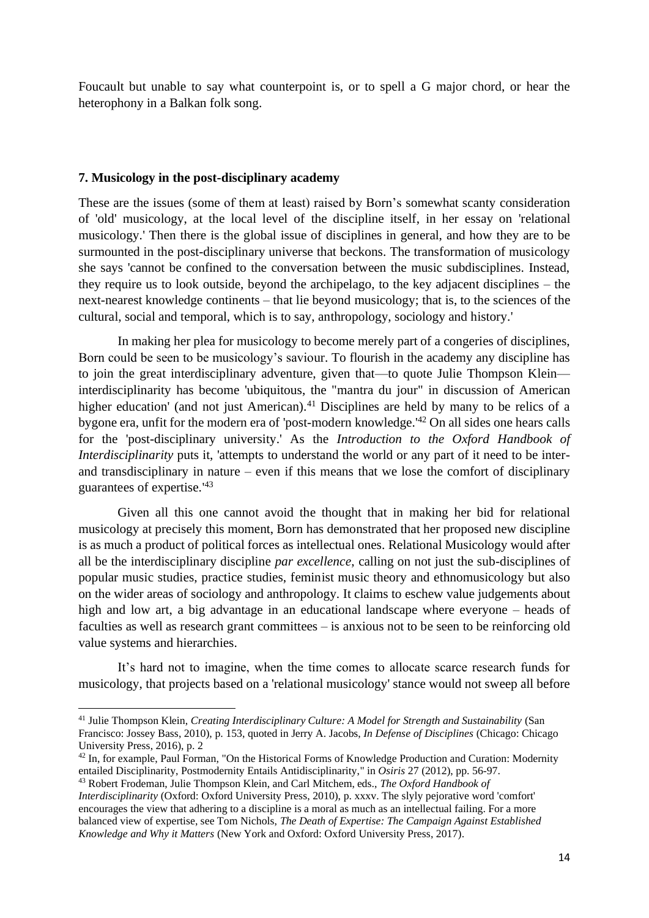Foucault but unable to say what counterpoint is, or to spell a G major chord, or hear the heterophony in a Balkan folk song.

### **7. Musicology in the post-disciplinary academy**

These are the issues (some of them at least) raised by Born's somewhat scanty consideration of 'old' musicology, at the local level of the discipline itself, in her essay on 'relational musicology.' Then there is the global issue of disciplines in general, and how they are to be surmounted in the post-disciplinary universe that beckons. The transformation of musicology she says 'cannot be confined to the conversation between the music subdisciplines. Instead, they require us to look outside, beyond the archipelago, to the key adjacent disciplines – the next-nearest knowledge continents – that lie beyond musicology; that is, to the sciences of the cultural, social and temporal, which is to say, anthropology, sociology and history.'

In making her plea for musicology to become merely part of a congeries of disciplines, Born could be seen to be musicology's saviour. To flourish in the academy any discipline has to join the great interdisciplinary adventure, given that—to quote Julie Thompson Klein interdisciplinarity has become 'ubiquitous, the "mantra du jour" in discussion of American higher education' (and not just American).<sup>41</sup> Disciplines are held by many to be relics of a bygone era, unfit for the modern era of 'post-modern knowledge.' <sup>42</sup> On all sides one hears calls for the 'post-disciplinary university.' As the *Introduction to the Oxford Handbook of Interdisciplinarity* puts it, 'attempts to understand the world or any part of it need to be interand transdisciplinary in nature – even if this means that we lose the comfort of disciplinary guarantees of expertise.' 43

Given all this one cannot avoid the thought that in making her bid for relational musicology at precisely this moment, Born has demonstrated that her proposed new discipline is as much a product of political forces as intellectual ones. Relational Musicology would after all be the interdisciplinary discipline *par excellence*, calling on not just the sub-disciplines of popular music studies, practice studies, feminist music theory and ethnomusicology but also on the wider areas of sociology and anthropology. It claims to eschew value judgements about high and low art, a big advantage in an educational landscape where everyone – heads of faculties as well as research grant committees – is anxious not to be seen to be reinforcing old value systems and hierarchies.

It's hard not to imagine, when the time comes to allocate scarce research funds for musicology, that projects based on a 'relational musicology' stance would not sweep all before

<sup>41</sup> Julie Thompson Klein, *Creating Interdisciplinary Culture: A Model for Strength and Sustainability* (San Francisco: Jossey Bass, 2010), p. 153, quoted in Jerry A. Jacobs, *In Defense of Disciplines* (Chicago: Chicago University Press, 2016), p. 2

<sup>&</sup>lt;sup>42</sup> In, for example, Paul Forman, "On the Historical Forms of Knowledge Production and Curation: Modernity entailed Disciplinarity, Postmodernity Entails Antidisciplinarity," in *Osiris* 27 (2012), pp. 56-97.

<sup>43</sup> Robert Frodeman, Julie Thompson Klein, and Carl Mitchem, eds., *The Oxford Handbook of Interdisciplinarity* (Oxford: Oxford University Press, 2010), p. xxxv. The slyly pejorative word 'comfort' encourages the view that adhering to a discipline is a moral as much as an intellectual failing. For a more balanced view of expertise, see Tom Nichols, *The Death of Expertise: The Campaign Against Established Knowledge and Why it Matters* (New York and Oxford: Oxford University Press, 2017).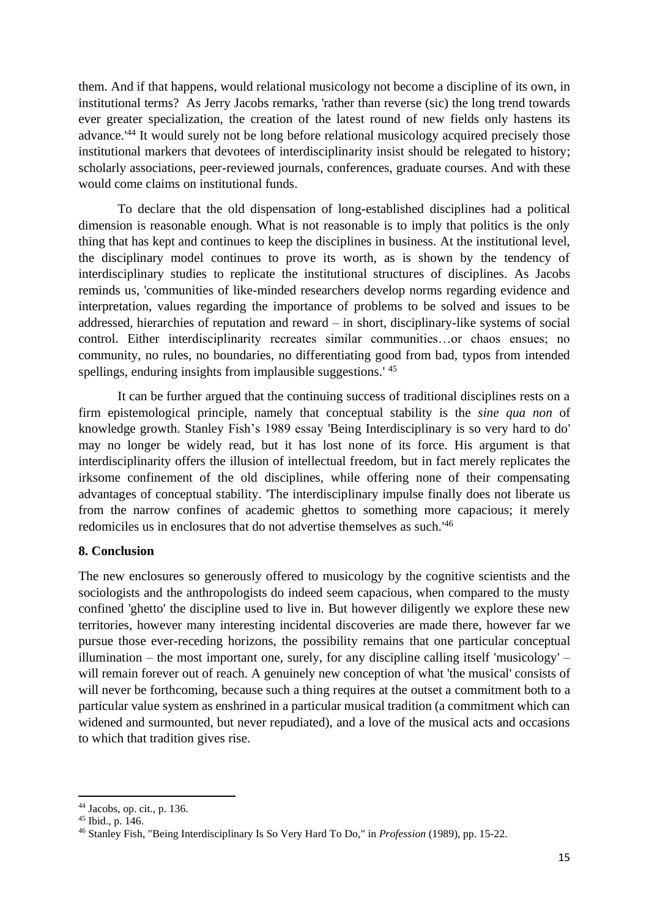them. And if that happens, would relational musicology not become a discipline of its own, in institutional terms? As Jerry Jacobs remarks, 'rather than reverse (sic) the long trend towards ever greater specialization, the creation of the latest round of new fields only hastens its advance.<sup>'44</sup> It would surely not be long before relational musicology acquired precisely those institutional markers that devotees of interdisciplinarity insist should be relegated to history; scholarly associations, peer-reviewed journals, conferences, graduate courses. And with these would come claims on institutional funds.

To declare that the old dispensation of long-established disciplines had a political dimension is reasonable enough. What is not reasonable is to imply that politics is the only thing that has kept and continues to keep the disciplines in business. At the institutional level, the disciplinary model continues to prove its worth, as is shown by the tendency of interdisciplinary studies to replicate the institutional structures of disciplines. As Jacobs reminds us, 'communities of like-minded researchers develop norms regarding evidence and interpretation, values regarding the importance of problems to be solved and issues to be addressed, hierarchies of reputation and reward – in short, disciplinary-like systems of social control. Either interdisciplinarity recreates similar communities…or chaos ensues; no community, no rules, no boundaries, no differentiating good from bad, typos from intended spellings, enduring insights from implausible suggestions.<sup>145</sup>

It can be further argued that the continuing success of traditional disciplines rests on a firm epistemological principle, namely that conceptual stability is the *sine qua non* of knowledge growth. Stanley Fish's 1989 essay 'Being Interdisciplinary is so very hard to do' may no longer be widely read, but it has lost none of its force. His argument is that interdisciplinarity offers the illusion of intellectual freedom, but in fact merely replicates the irksome confinement of the old disciplines, while offering none of their compensating advantages of conceptual stability. 'The interdisciplinary impulse finally does not liberate us from the narrow confines of academic ghettos to something more capacious; it merely redomiciles us in enclosures that do not advertise themselves as such.' 46

# **8. Conclusion**

The new enclosures so generously offered to musicology by the cognitive scientists and the sociologists and the anthropologists do indeed seem capacious, when compared to the musty confined 'ghetto' the discipline used to live in. But however diligently we explore these new territories, however many interesting incidental discoveries are made there, however far we pursue those ever-receding horizons, the possibility remains that one particular conceptual illumination – the most important one, surely, for any discipline calling itself 'musicology' – will remain forever out of reach. A genuinely new conception of what 'the musical' consists of will never be forthcoming, because such a thing requires at the outset a commitment both to a particular value system as enshrined in a particular musical tradition (a commitment which can widened and surmounted, but never repudiated), and a love of the musical acts and occasions to which that tradition gives rise.

<sup>44</sup> Jacobs, op. cit., p. 136.

<sup>45</sup> Ibid., p. 146.

<sup>46</sup> Stanley Fish, "Being Interdisciplinary Is So Very Hard To Do," in *Profession* (1989), pp. 15-22.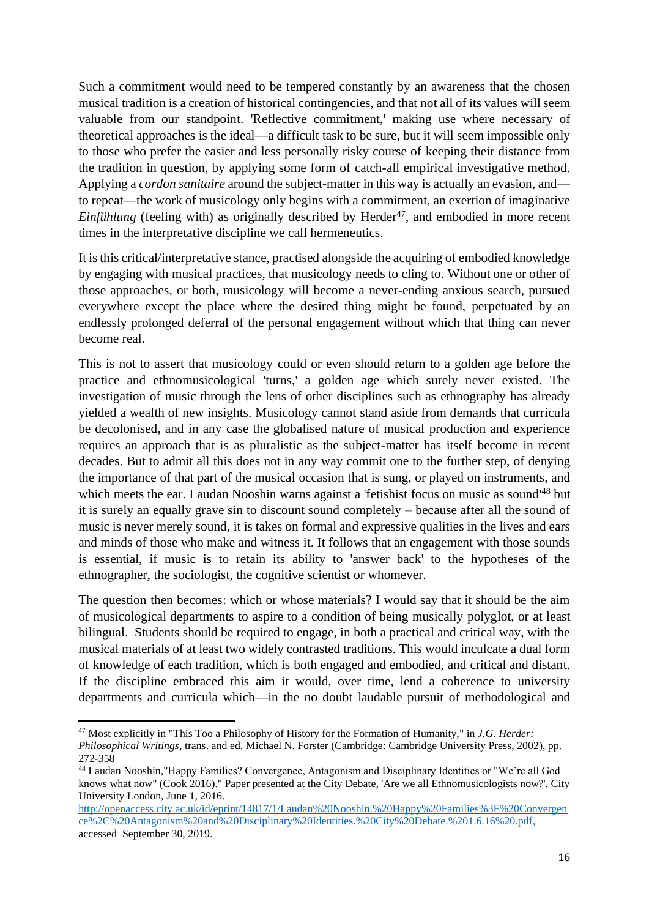Such a commitment would need to be tempered constantly by an awareness that the chosen musical tradition is a creation of historical contingencies, and that not all of its values will seem valuable from our standpoint. 'Reflective commitment,' making use where necessary of theoretical approaches is the ideal—a difficult task to be sure, but it will seem impossible only to those who prefer the easier and less personally risky course of keeping their distance from the tradition in question, by applying some form of catch-all empirical investigative method. Applying a *cordon sanitaire* around the subject-matter in this way is actually an evasion, and to repeat—the work of musicology only begins with a commitment, an exertion of imaginative *Einfühlung* (feeling with) as originally described by Herder<sup>47</sup>, and embodied in more recent times in the interpretative discipline we call hermeneutics.

It is this critical/interpretative stance, practised alongside the acquiring of embodied knowledge by engaging with musical practices, that musicology needs to cling to. Without one or other of those approaches, or both, musicology will become a never-ending anxious search, pursued everywhere except the place where the desired thing might be found, perpetuated by an endlessly prolonged deferral of the personal engagement without which that thing can never become real.

This is not to assert that musicology could or even should return to a golden age before the practice and ethnomusicological 'turns,' a golden age which surely never existed. The investigation of music through the lens of other disciplines such as ethnography has already yielded a wealth of new insights. Musicology cannot stand aside from demands that curricula be decolonised, and in any case the globalised nature of musical production and experience requires an approach that is as pluralistic as the subject-matter has itself become in recent decades. But to admit all this does not in any way commit one to the further step, of denying the importance of that part of the musical occasion that is sung, or played on instruments, and which meets the ear. Laudan Nooshin warns against a 'fetishist focus on music as sound<sup>148</sup> but it is surely an equally grave sin to discount sound completely – because after all the sound of music is never merely sound, it is takes on formal and expressive qualities in the lives and ears and minds of those who make and witness it. It follows that an engagement with those sounds is essential, if music is to retain its ability to 'answer back' to the hypotheses of the ethnographer, the sociologist, the cognitive scientist or whomever.

The question then becomes: which or whose materials? I would say that it should be the aim of musicological departments to aspire to a condition of being musically polyglot, or at least bilingual. Students should be required to engage, in both a practical and critical way, with the musical materials of at least two widely contrasted traditions. This would inculcate a dual form of knowledge of each tradition, which is both engaged and embodied, and critical and distant. If the discipline embraced this aim it would, over time, lend a coherence to university departments and curricula which—in the no doubt laudable pursuit of methodological and

<sup>47</sup> Most explicitly in "This Too a Philosophy of History for the Formation of Humanity," in *J.G. Herder: Philosophical Writings*, trans. and ed. Michael N. Forster (Cambridge: Cambridge University Press, 2002), pp. 272-358

<sup>48</sup> Laudan Nooshin,"Happy Families? Convergence, Antagonism and Disciplinary Identities or "We're all God knows what now" (Cook 2016)." Paper presented at the City Debate, 'Are we all Ethnomusicologists now?', City University London, June 1, 2016.

[http://openaccess.city.ac.uk/id/eprint/14817/1/Laudan%20Nooshin.%20Happy%20Families%3F%20Convergen](http://openaccess.city.ac.uk/id/eprint/14817/1/Laudan%20Nooshin.%20Happy%20Families%3F%20Convergence%2C%20Antagonism%20and%20Disciplinary%20Identities.%20City%20Debate.%201.6.16%20.pdf) [ce%2C%20Antagonism%20and%20Disciplinary%20Identities.%20City%20Debate.%201.6.16%20.pdf,](http://openaccess.city.ac.uk/id/eprint/14817/1/Laudan%20Nooshin.%20Happy%20Families%3F%20Convergence%2C%20Antagonism%20and%20Disciplinary%20Identities.%20City%20Debate.%201.6.16%20.pdf) accessed September 30, 2019.